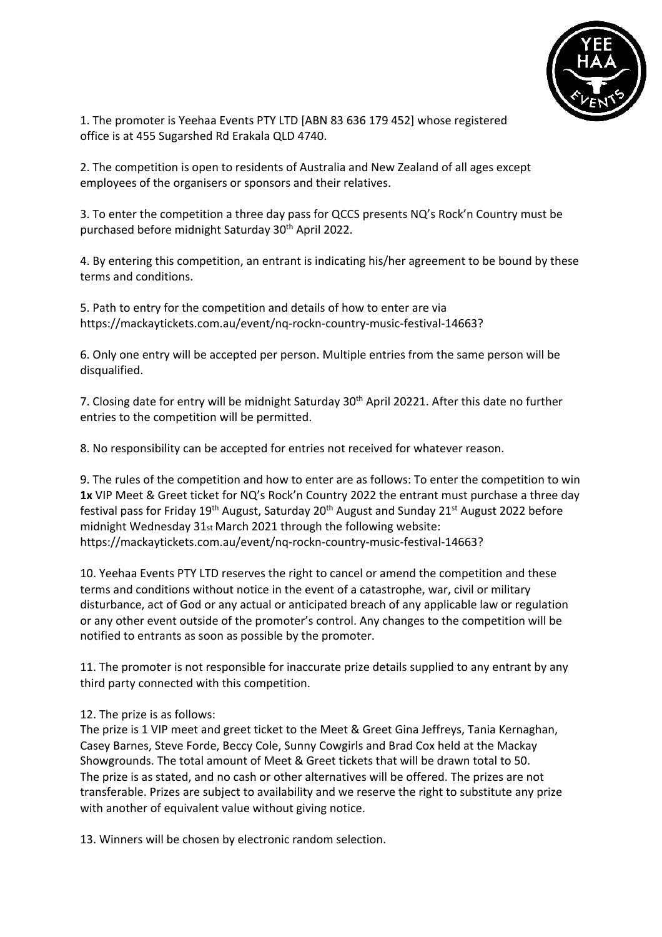

1. The promoter is Yeehaa Events PTY LTD [ABN 83 636 179 452] whose registered office is at 455 Sugarshed Rd Erakala QLD 4740.

2. The competition is open to residents of Australia and New Zealand of all ages except employees of the organisers or sponsors and their relatives.

3. To enter the competition a three day pass for QCCS presents NQ's Rock'n Country must be purchased before midnight Saturday 30th April 2022.

4. By entering this competition, an entrant is indicating his/her agreement to be bound by these terms and conditions.

5. Path to entry for the competition and details of how to enter are via https://mackaytickets.com.au/event/nq-rockn-country-music-festival-14663?

6. Only one entry will be accepted per person. Multiple entries from the same person will be disqualified.

7. Closing date for entry will be midnight Saturday 30<sup>th</sup> April 20221. After this date no further entries to the competition will be permitted.

8. No responsibility can be accepted for entries not received for whatever reason.

9. The rules of the competition and how to enter are as follows: To enter the competition to win **1x** VIP Meet & Greet ticket for NQ's Rock'n Country 2022 the entrant must purchase a three day festival pass for Friday 19<sup>th</sup> August, Saturday 20<sup>th</sup> August and Sunday 21<sup>st</sup> August 2022 before midnight Wednesday 31st March 2021 through the following website: https://mackaytickets.com.au/event/nq-rockn-country-music-festival-14663?

10. Yeehaa Events PTY LTD reserves the right to cancel or amend the competition and these terms and conditions without notice in the event of a catastrophe, war, civil or military disturbance, act of God or any actual or anticipated breach of any applicable law or regulation or any other event outside of the promoter's control. Any changes to the competition will be notified to entrants as soon as possible by the promoter.

11. The promoter is not responsible for inaccurate prize details supplied to any entrant by any third party connected with this competition.

## 12. The prize is as follows:

The prize is 1 VIP meet and greet ticket to the Meet & Greet Gina Jeffreys, Tania Kernaghan, Casey Barnes, Steve Forde, Beccy Cole, Sunny Cowgirls and Brad Cox held at the Mackay Showgrounds. The total amount of Meet & Greet tickets that will be drawn total to 50. The prize is as stated, and no cash or other alternatives will be offered. The prizes are not transferable. Prizes are subject to availability and we reserve the right to substitute any prize with another of equivalent value without giving notice.

13. Winners will be chosen by electronic random selection.